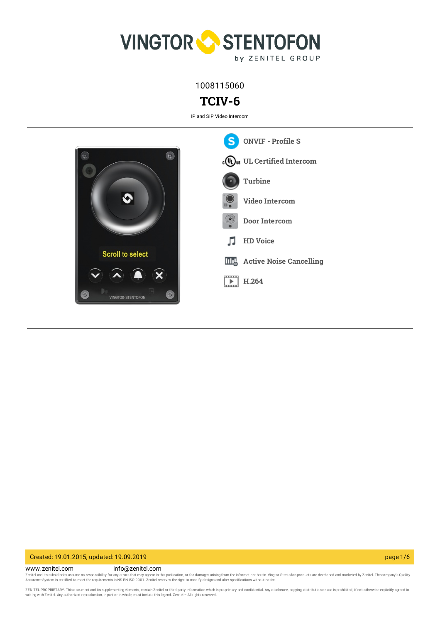

1008115060

# **TCIV-6**

IP and SIP Video Intercom



### Created: 19.01.2015, updated: 19.09.2019 page 1/6

www.zenitel.com info@zenitel.com Zenitel and its subsidiaries assume no responsibility for any errors that may appear in this publication, or for damages arising from the information therein. Vingtor-Stentofon products are developed and marketed by Zenite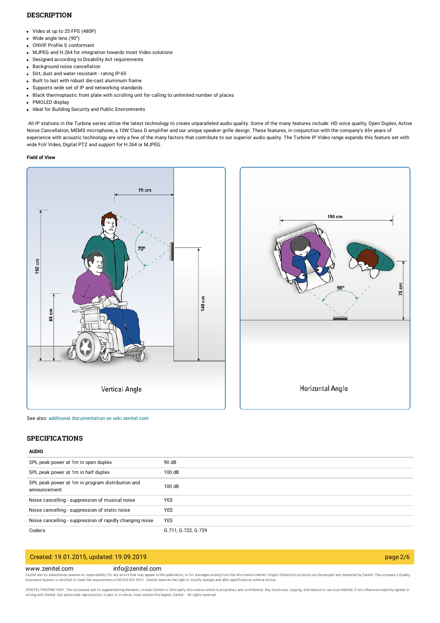### **DESCRIPTION**

- Video at up to 25 FPS (480P)
- Wide angle lens (90°)
- ONVIF Profile S conformant
- MJPEG and H.264 for integration towards most Video solutions
- Designed according to Disability Act requirements
- Background noise cancellation
- Dirt, dust and water resistant rating IP-65
- Built to last with robust die-cast aluminum frame
- Supports wide set of IP and networking standards
- Black thermoplastic front plate with scrolling unit for calling to unlimited number of places
- PMOLED display
- Ideal for Building Security and Public Environments

All IP stations in the Turbine series utilize the latest technology to create unparalleled audio quality. Some of the many features include: HD voice quality, Open Duplex, Active Noise Cancellation, MEMS microphone, a 10W Class D amplifier and our unique speaker grille design. These features, in conjunction with the company's 65+ years of experience with acoustic technology are only a few of the many factors that contribute to our superior audio quality. The Turbine IP Video range expands this feature set with wide FoV Video, Digital PTZ and support for H.264 or MJPEG.

#### **Field of View**





See also: additional documentation on [wiki.zenitel.com](https://wiki.zenitel.com/wiki/TCIV-6)

### **SPECIFICATIONS**

#### **AUDIO**

| SPL peak power at 1m in open duplex                              | 90 dB               |
|------------------------------------------------------------------|---------------------|
| SPL peak power at 1m in half duplex                              | 100dB               |
| SPL peak power at 1m in program distribution and<br>announcement | 100dB               |
| Noise cancelling - suppression of musical noise                  | <b>YES</b>          |
| Noise cancelling - suppression of static noise                   | <b>YES</b>          |
| Noise cancelling - suppression of rapidly changing noise         | <b>YES</b>          |
| Codecs                                                           | G.711, G.722, G.729 |
|                                                                  |                     |

### Created: 19.01.2015, updated: 19.09.2019 page 2/6

#### www.zenitel.com info@zenitel.com

Zenitel and its subsidiaries assume no responsibility for any errors that may appear in this publication, or for damages arising from the information therein. Vingtor-Stentofon products are developed and marketed by Zenite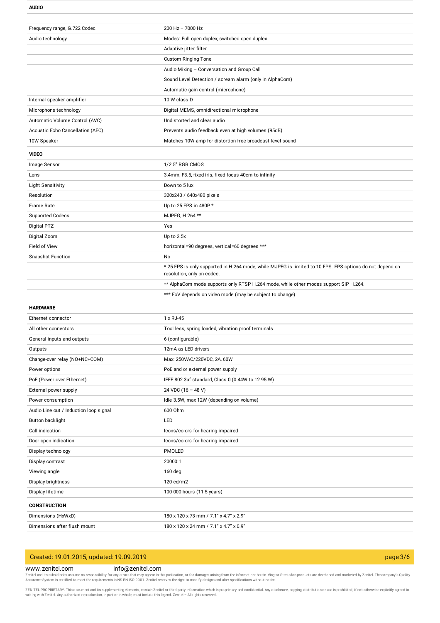**AUDIO**

| Frequency range, G.722 Codec           | $200$ Hz $- 7000$ Hz                                                                                                                   |
|----------------------------------------|----------------------------------------------------------------------------------------------------------------------------------------|
| Audio technology                       | Modes: Full open duplex, switched open duplex                                                                                          |
|                                        | Adaptive jitter filter                                                                                                                 |
|                                        | <b>Custom Ringing Tone</b>                                                                                                             |
|                                        | Audio Mixing - Conversation and Group Call                                                                                             |
|                                        | Sound Level Detection / scream alarm (only in AlphaCom)                                                                                |
|                                        | Automatic gain control (microphone)                                                                                                    |
| Internal speaker amplifier             | 10 W class D                                                                                                                           |
| Microphone technology                  | Digital MEMS, omnidirectional microphone                                                                                               |
| Automatic Volume Control (AVC)         | Undistorted and clear audio                                                                                                            |
| Acoustic Echo Cancellation (AEC)       | Prevents audio feedback even at high volumes (95dB)                                                                                    |
| 10W Speaker                            | Matches 10W amp for distortion-free broadcast level sound                                                                              |
| <b>VIDEO</b>                           |                                                                                                                                        |
| Image Sensor                           | 1/2.5" RGB CMOS                                                                                                                        |
| Lens                                   | 3.4mm, F3.5, fixed iris, fixed focus 40cm to infinity                                                                                  |
| <b>Light Sensitivity</b>               | Down to 5 lux                                                                                                                          |
| Resolution                             | 320x240 / 640x480 pixels                                                                                                               |
| <b>Frame Rate</b>                      | Up to 25 FPS in 480P *                                                                                                                 |
| <b>Supported Codecs</b>                | MJPEG, H.264 **                                                                                                                        |
| Digital PTZ                            | Yes                                                                                                                                    |
| Digital Zoom                           | Up to $2.5x$                                                                                                                           |
| Field of View                          | horizontal=90 degrees, vertical=60 degrees ***                                                                                         |
| <b>Snapshot Function</b>               | No                                                                                                                                     |
|                                        | * 25 FPS is only supported in H.264 mode, while MJPEG is limited to 10 FPS. FPS options do not depend on<br>resolution, only on codec. |
|                                        | ** AlphaCom mode supports only RTSP H.264 mode, while other modes support SIP H.264.                                                   |
|                                        | *** FoV depends on video mode (may be subject to change)                                                                               |
| <b>HARDWARE</b>                        |                                                                                                                                        |
| Ethernet connector                     | 1 x RJ-45                                                                                                                              |
| All other connectors                   | Tool less, spring loaded, vibration proof terminals                                                                                    |
| General inputs and outputs             | 6 (configurable)                                                                                                                       |
| Outputs                                | 12mA as LED drivers                                                                                                                    |
| Change-over relay (NO+NC+COM)          | Max: 250VAC/220VDC, 2A, 60W                                                                                                            |
| Power options                          | PoE and or external power supply                                                                                                       |
| PoE (Power over Ethernet)              | IEEE 802.3af standard, Class 0 (0.44W to 12.95 W)                                                                                      |
| External power supply                  | 24 VDC (16 - 48 V)                                                                                                                     |
| Power consumption                      | Idle 3.5W, max 12W (depending on volume)                                                                                               |
| Audio Line out / Induction loop signal | 600 Ohm                                                                                                                                |
| Button backlight                       | LED                                                                                                                                    |
| Call indication                        | Icons/colors for hearing impaired                                                                                                      |
| Door open indication                   | Icons/colors for hearing impaired                                                                                                      |
| Display technology                     | PMOLED                                                                                                                                 |
| Display contrast                       | 20000:1                                                                                                                                |
| Viewing angle                          | 160 deg                                                                                                                                |
| Display brightness                     | 120 cd/m2                                                                                                                              |
| Display lifetime                       | 100 000 hours (11.5 years)                                                                                                             |
|                                        |                                                                                                                                        |
| <b>CONSTRUCTION</b>                    |                                                                                                                                        |
| Dimensions (HxWxD)                     | 180 x 120 x 73 mm / 7.1" x 4.7" x 2.9"                                                                                                 |
| Dimensions after flush mount           | 180 x 120 x 24 mm / 7.1" x 4.7" x 0.9"                                                                                                 |

## Created: 19.01.2015, updated: 19.09.2019 page 3/6

#### www.zenitel.com info@zenitel.com

Zenitel and its subsidiaries assume no responsibility for any errors that may appear in this publication, or for damages arising from the information therein. Vingtor-Stentofon products are developed and marketed by Zenite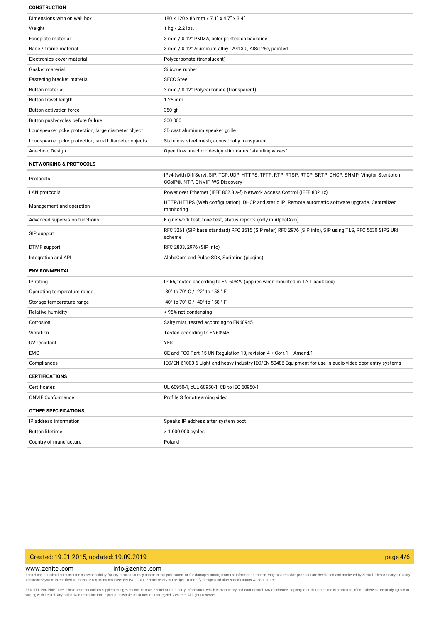#### **CONSTRUCTION**

| Dimensions with on wall box                         | 180 x 120 x 86 mm / 7.1" x 4.7" x 3.4"                                                                                                     |
|-----------------------------------------------------|--------------------------------------------------------------------------------------------------------------------------------------------|
| Weight                                              | 1 kg / 2.2 lbs.                                                                                                                            |
| Faceplate material                                  | 3 mm / 0.12" PMMA, color printed on backside                                                                                               |
| Base / frame material                               | 3 mm / 0.12" Aluminum alloy - A413.0, AlSi12Fe, painted                                                                                    |
| Electronics cover material                          | Polycarbonate (translucent)                                                                                                                |
| Gasket material                                     | Silicone rubber                                                                                                                            |
| Fastening bracket material                          | <b>SECC Steel</b>                                                                                                                          |
| <b>Button material</b>                              | 3 mm / 0.12" Polycarbonate (transparent)                                                                                                   |
| Button travel length                                | $1.25$ mm                                                                                                                                  |
| <b>Button activation force</b>                      | 350 gf                                                                                                                                     |
| Button push-cycles before failure                   | 300 000                                                                                                                                    |
| Loudspeaker poke protection, large diameter object  | 3D cast aluminum speaker grille                                                                                                            |
| Loudspeaker poke protection, small diameter objects | Stainless steel mesh, acoustically transparent                                                                                             |
| Anechoic Design                                     | Open flow anechoic design eliminates "standing waves"                                                                                      |
| <b>NETWORKING &amp; PROTOCOLS</b>                   |                                                                                                                                            |
| Protocols                                           | IPv4 (with DiffServ), SIP, TCP, UDP, HTTPS, TFTP, RTP, RTSP, RTCP, SRTP, DHCP, SNMP, Vingtor-Stentofon<br>CCoIP®, NTP, ONVIF, WS-Discovery |
| LAN protocols                                       | Power over Ethernet (IEEE 802.3 a-f) Network Access Control (IEEE 802.1x)                                                                  |
| Management and operation                            | HTTP/HTTPS (Web configuration). DHCP and static IP. Remote automatic software upgrade. Centralized<br>monitoring.                          |
| Advanced supervision functions                      | E.g network test, tone test, status reports (only in AlphaCom)                                                                             |
| SIP support                                         | RFC 3261 (SIP base standard) RFC 3515 (SIP refer) RFC 2976 (SIP info), SIP using TLS, RFC 5630 SIPS URI<br>scheme                          |
| DTMF support                                        | RFC 2833, 2976 (SIP info)                                                                                                                  |
| Integration and API                                 | AlphaCom and Pulse SDK, Scripting (plugins)                                                                                                |
| <b>ENVIRONMENTAL</b>                                |                                                                                                                                            |
| IP rating                                           | IP-65, tested according to EN 60529 (applies when mounted in TA-1 back box)                                                                |
| Operating temperature range                         | -30° to 70° C / -22° to 158 ° F                                                                                                            |
| Storage temperature range                           | -40° to 70° C / -40° to 158 ° F                                                                                                            |
| Relative humidity                                   | < 95% not condensing                                                                                                                       |
| Corrosion                                           | Salty mist, tested according to EN60945                                                                                                    |
| Vibration                                           | Tested according to EN60945                                                                                                                |
| UV-resistant                                        | <b>YES</b>                                                                                                                                 |
| EMC                                                 | CE and FCC Part 15 UN Regulation 10, revision 4 + Corr.1 + Amend.1                                                                         |
| Compliances                                         | IEC/EN 61000-6 Light and heavy industry IEC/EN 50486 Equipment for use in audio video door-entry systems                                   |
| <b>CERTIFICATIONS</b>                               |                                                                                                                                            |
| Certificates                                        | UL 60950-1, cUL 60950-1, CB to IEC 60950-1                                                                                                 |
| <b>ONVIF Conformance</b>                            | Profile S for streaming video                                                                                                              |
| OTHER SPECIFICATIONS                                |                                                                                                                                            |
| IP address information                              | Speaks IP address after system boot                                                                                                        |
| <b>Button lifetime</b>                              | > 1 000 000 cycles                                                                                                                         |
| Country of manufacture                              | Poland                                                                                                                                     |

### Created: 19.01.2015, updated: 19.09.2019 page 4/6

### www.zenitel.com info@zenitel.com

Zenitel and its subsidiaries assume no responsibility for any errors that may appear in this publication, or for damages arising from the information therein. Vingtor-Stentofon products are developed and marketed by Zenite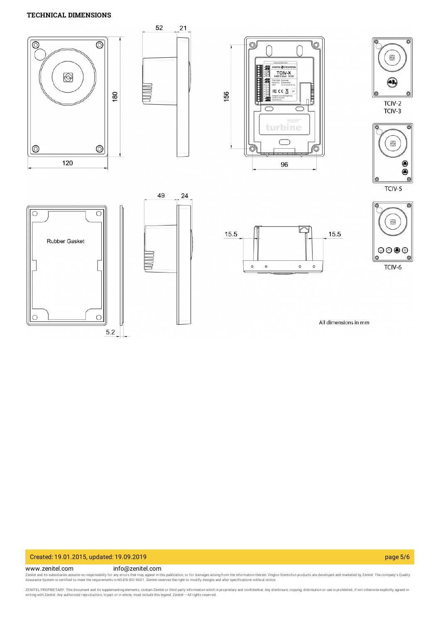### **TECHNICAL DIMENSIONS**



### Created: 19.01.2015, updated: 19.09.2019 page 5/6

### www.zenitel.com info@zenitel.com

Zenitel and its subsidiaries assume no responsibility for any errors that may appear in this publication, or for damages arising from the information therein. Vingtor-Stentofon products are developed and marketed by Zenite